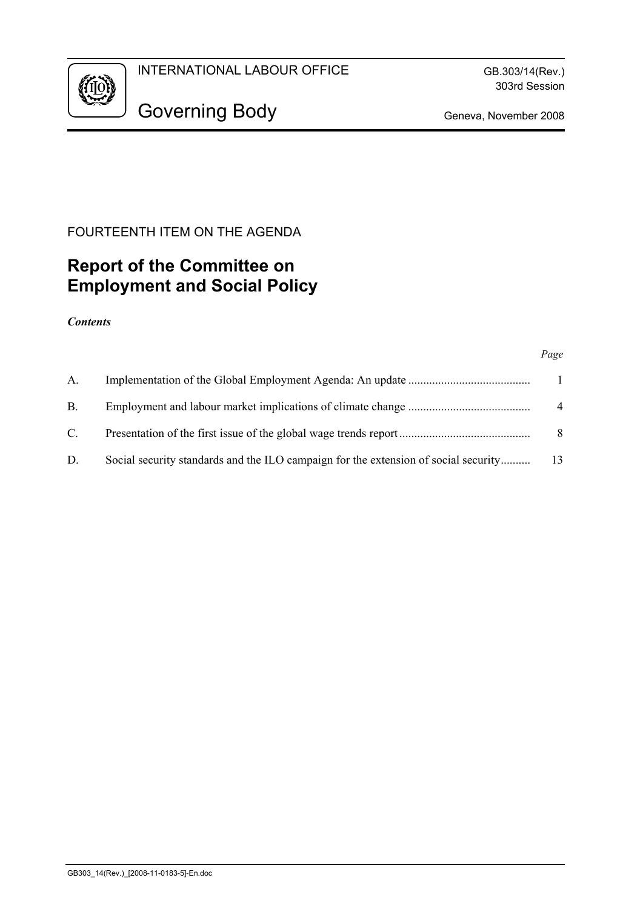

# FOURTEENTH ITEM ON THE AGENDA

# **Report of the Committee on Employment and Social Policy**

#### *Contents*

#### *Page*

| $A_{-}$        |                                                                                     | $\mathbf{1}$   |
|----------------|-------------------------------------------------------------------------------------|----------------|
| $\mathbf{B}$ . |                                                                                     | $\overline{4}$ |
| $\mathbb{C}$ . |                                                                                     | 8              |
| D.             | Social security standards and the ILO campaign for the extension of social security | -13            |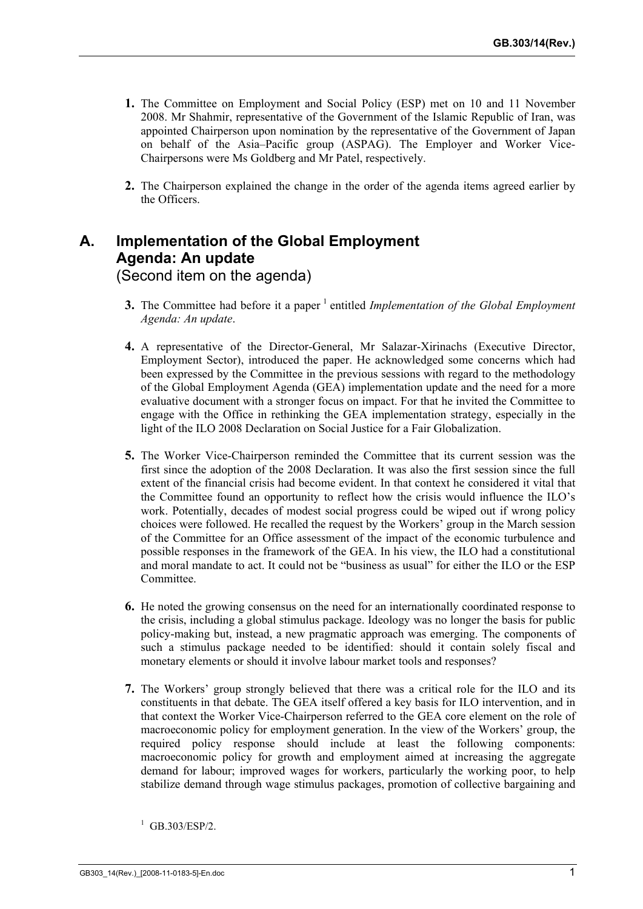- **1.** The Committee on Employment and Social Policy (ESP) met on 10 and 11 November 2008. Mr Shahmir, representative of the Government of the Islamic Republic of Iran, was appointed Chairperson upon nomination by the representative of the Government of Japan on behalf of the Asia–Pacific group (ASPAG). The Employer and Worker Vice-Chairpersons were Ms Goldberg and Mr Patel, respectively.
- **2.** The Chairperson explained the change in the order of the agenda items agreed earlier by the Officers.

# **A. Implementation of the Global Employment Agenda: An update**  (Second item on the agenda)

- **3.** The Committee had before it a paper <sup>1</sup> entitled *Implementation of the Global Employment Agenda: An update*.
- **4.** A representative of the Director-General, Mr Salazar-Xirinachs (Executive Director, Employment Sector), introduced the paper. He acknowledged some concerns which had been expressed by the Committee in the previous sessions with regard to the methodology of the Global Employment Agenda (GEA) implementation update and the need for a more evaluative document with a stronger focus on impact. For that he invited the Committee to engage with the Office in rethinking the GEA implementation strategy, especially in the light of the ILO 2008 Declaration on Social Justice for a Fair Globalization.
- **5.** The Worker Vice-Chairperson reminded the Committee that its current session was the first since the adoption of the 2008 Declaration. It was also the first session since the full extent of the financial crisis had become evident. In that context he considered it vital that the Committee found an opportunity to reflect how the crisis would influence the ILO's work. Potentially, decades of modest social progress could be wiped out if wrong policy choices were followed. He recalled the request by the Workers' group in the March session of the Committee for an Office assessment of the impact of the economic turbulence and possible responses in the framework of the GEA. In his view, the ILO had a constitutional and moral mandate to act. It could not be "business as usual" for either the ILO or the ESP Committee.
- **6.** He noted the growing consensus on the need for an internationally coordinated response to the crisis, including a global stimulus package. Ideology was no longer the basis for public policy-making but, instead, a new pragmatic approach was emerging. The components of such a stimulus package needed to be identified: should it contain solely fiscal and monetary elements or should it involve labour market tools and responses?
- **7.** The Workers' group strongly believed that there was a critical role for the ILO and its constituents in that debate. The GEA itself offered a key basis for ILO intervention, and in that context the Worker Vice-Chairperson referred to the GEA core element on the role of macroeconomic policy for employment generation. In the view of the Workers' group, the required policy response should include at least the following components: macroeconomic policy for growth and employment aimed at increasing the aggregate demand for labour; improved wages for workers, particularly the working poor, to help stabilize demand through wage stimulus packages, promotion of collective bargaining and

<sup>1</sup> GB.303/ESP/2.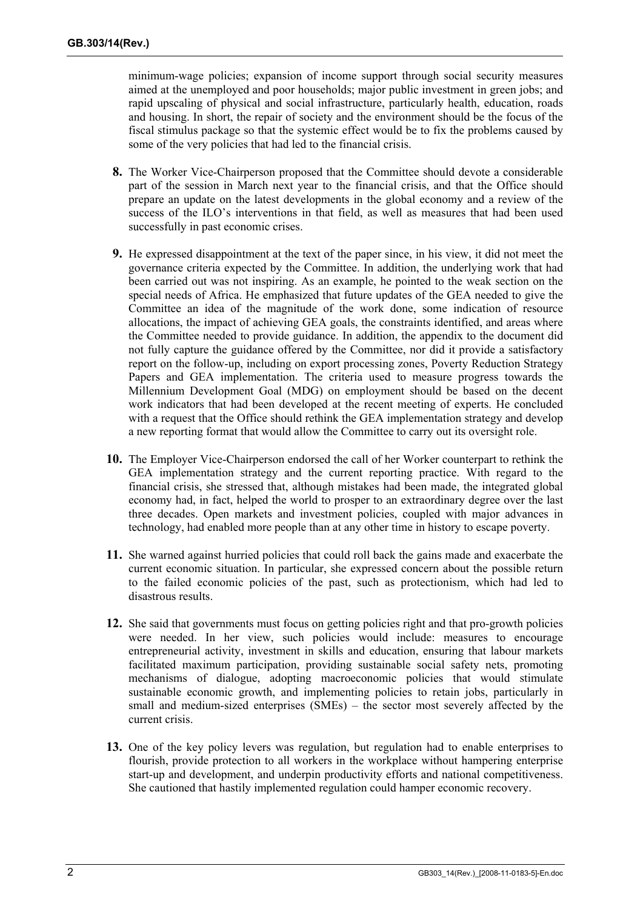minimum-wage policies; expansion of income support through social security measures aimed at the unemployed and poor households; major public investment in green jobs; and rapid upscaling of physical and social infrastructure, particularly health, education, roads and housing. In short, the repair of society and the environment should be the focus of the fiscal stimulus package so that the systemic effect would be to fix the problems caused by some of the very policies that had led to the financial crisis.

- **8.** The Worker Vice-Chairperson proposed that the Committee should devote a considerable part of the session in March next year to the financial crisis, and that the Office should prepare an update on the latest developments in the global economy and a review of the success of the ILO's interventions in that field, as well as measures that had been used successfully in past economic crises.
- **9.** He expressed disappointment at the text of the paper since, in his view, it did not meet the governance criteria expected by the Committee. In addition, the underlying work that had been carried out was not inspiring. As an example, he pointed to the weak section on the special needs of Africa. He emphasized that future updates of the GEA needed to give the Committee an idea of the magnitude of the work done, some indication of resource allocations, the impact of achieving GEA goals, the constraints identified, and areas where the Committee needed to provide guidance. In addition, the appendix to the document did not fully capture the guidance offered by the Committee, nor did it provide a satisfactory report on the follow-up, including on export processing zones, Poverty Reduction Strategy Papers and GEA implementation. The criteria used to measure progress towards the Millennium Development Goal (MDG) on employment should be based on the decent work indicators that had been developed at the recent meeting of experts. He concluded with a request that the Office should rethink the GEA implementation strategy and develop a new reporting format that would allow the Committee to carry out its oversight role.
- **10.** The Employer Vice-Chairperson endorsed the call of her Worker counterpart to rethink the GEA implementation strategy and the current reporting practice. With regard to the financial crisis, she stressed that, although mistakes had been made, the integrated global economy had, in fact, helped the world to prosper to an extraordinary degree over the last three decades. Open markets and investment policies, coupled with major advances in technology, had enabled more people than at any other time in history to escape poverty.
- **11.** She warned against hurried policies that could roll back the gains made and exacerbate the current economic situation. In particular, she expressed concern about the possible return to the failed economic policies of the past, such as protectionism, which had led to disastrous results.
- **12.** She said that governments must focus on getting policies right and that pro-growth policies were needed. In her view, such policies would include: measures to encourage entrepreneurial activity, investment in skills and education, ensuring that labour markets facilitated maximum participation, providing sustainable social safety nets, promoting mechanisms of dialogue, adopting macroeconomic policies that would stimulate sustainable economic growth, and implementing policies to retain jobs, particularly in small and medium-sized enterprises (SMEs) – the sector most severely affected by the current crisis.
- **13.** One of the key policy levers was regulation, but regulation had to enable enterprises to flourish, provide protection to all workers in the workplace without hampering enterprise start-up and development, and underpin productivity efforts and national competitiveness. She cautioned that hastily implemented regulation could hamper economic recovery.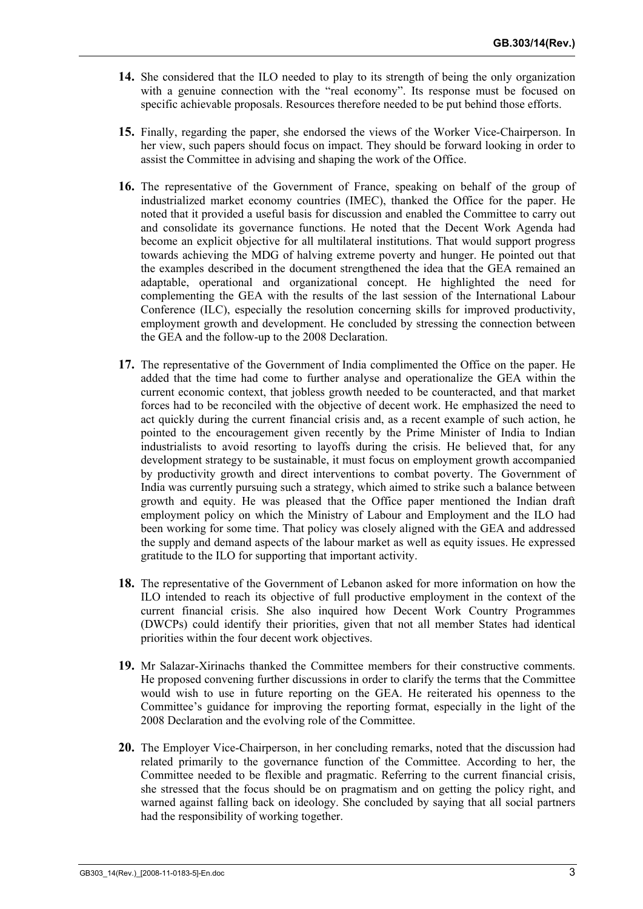- **14.** She considered that the ILO needed to play to its strength of being the only organization with a genuine connection with the "real economy". Its response must be focused on specific achievable proposals. Resources therefore needed to be put behind those efforts.
- **15.** Finally, regarding the paper, she endorsed the views of the Worker Vice-Chairperson. In her view, such papers should focus on impact. They should be forward looking in order to assist the Committee in advising and shaping the work of the Office.
- **16.** The representative of the Government of France, speaking on behalf of the group of industrialized market economy countries (IMEC), thanked the Office for the paper. He noted that it provided a useful basis for discussion and enabled the Committee to carry out and consolidate its governance functions. He noted that the Decent Work Agenda had become an explicit objective for all multilateral institutions. That would support progress towards achieving the MDG of halving extreme poverty and hunger. He pointed out that the examples described in the document strengthened the idea that the GEA remained an adaptable, operational and organizational concept. He highlighted the need for complementing the GEA with the results of the last session of the International Labour Conference (ILC), especially the resolution concerning skills for improved productivity, employment growth and development. He concluded by stressing the connection between the GEA and the follow-up to the 2008 Declaration.
- **17.** The representative of the Government of India complimented the Office on the paper. He added that the time had come to further analyse and operationalize the GEA within the current economic context, that jobless growth needed to be counteracted, and that market forces had to be reconciled with the objective of decent work. He emphasized the need to act quickly during the current financial crisis and, as a recent example of such action, he pointed to the encouragement given recently by the Prime Minister of India to Indian industrialists to avoid resorting to layoffs during the crisis. He believed that, for any development strategy to be sustainable, it must focus on employment growth accompanied by productivity growth and direct interventions to combat poverty. The Government of India was currently pursuing such a strategy, which aimed to strike such a balance between growth and equity. He was pleased that the Office paper mentioned the Indian draft employment policy on which the Ministry of Labour and Employment and the ILO had been working for some time. That policy was closely aligned with the GEA and addressed the supply and demand aspects of the labour market as well as equity issues. He expressed gratitude to the ILO for supporting that important activity.
- **18.** The representative of the Government of Lebanon asked for more information on how the ILO intended to reach its objective of full productive employment in the context of the current financial crisis. She also inquired how Decent Work Country Programmes (DWCPs) could identify their priorities, given that not all member States had identical priorities within the four decent work objectives.
- **19.** Mr Salazar-Xirinachs thanked the Committee members for their constructive comments. He proposed convening further discussions in order to clarify the terms that the Committee would wish to use in future reporting on the GEA. He reiterated his openness to the Committee's guidance for improving the reporting format, especially in the light of the 2008 Declaration and the evolving role of the Committee.
- **20.** The Employer Vice-Chairperson, in her concluding remarks, noted that the discussion had related primarily to the governance function of the Committee. According to her, the Committee needed to be flexible and pragmatic. Referring to the current financial crisis, she stressed that the focus should be on pragmatism and on getting the policy right, and warned against falling back on ideology. She concluded by saying that all social partners had the responsibility of working together.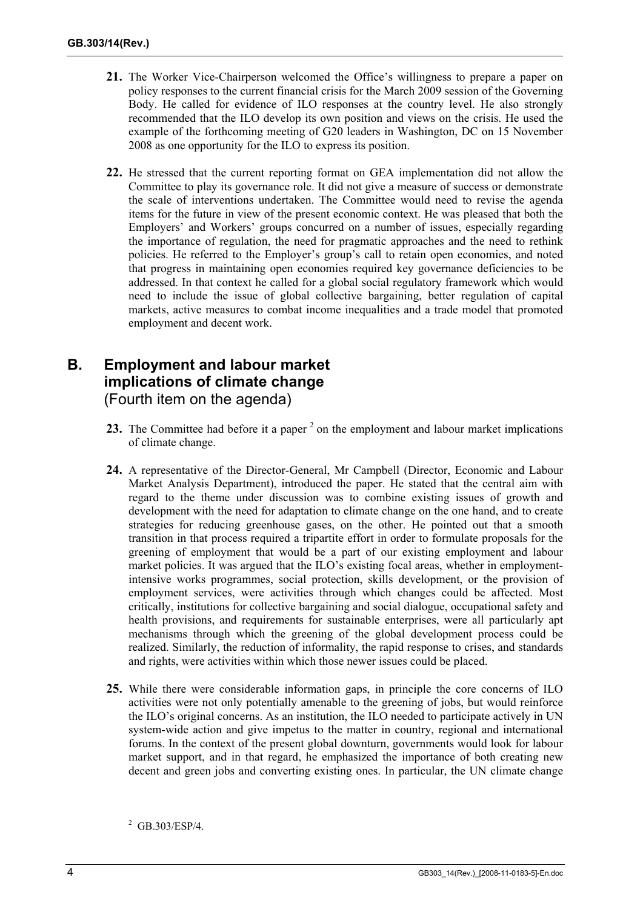- **21.** The Worker Vice-Chairperson welcomed the Office's willingness to prepare a paper on policy responses to the current financial crisis for the March 2009 session of the Governing Body. He called for evidence of ILO responses at the country level. He also strongly recommended that the ILO develop its own position and views on the crisis. He used the example of the forthcoming meeting of G20 leaders in Washington, DC on 15 November 2008 as one opportunity for the ILO to express its position.
- **22.** He stressed that the current reporting format on GEA implementation did not allow the Committee to play its governance role. It did not give a measure of success or demonstrate the scale of interventions undertaken. The Committee would need to revise the agenda items for the future in view of the present economic context. He was pleased that both the Employers' and Workers' groups concurred on a number of issues, especially regarding the importance of regulation, the need for pragmatic approaches and the need to rethink policies. He referred to the Employer's group's call to retain open economies, and noted that progress in maintaining open economies required key governance deficiencies to be addressed. In that context he called for a global social regulatory framework which would need to include the issue of global collective bargaining, better regulation of capital markets, active measures to combat income inequalities and a trade model that promoted employment and decent work.

## **B. Employment and labour market implications of climate change**  (Fourth item on the agenda)

- **23.** The Committee had before it a paper<sup>2</sup> on the employment and labour market implications of climate change.
- **24.** A representative of the Director-General, Mr Campbell (Director, Economic and Labour Market Analysis Department), introduced the paper. He stated that the central aim with regard to the theme under discussion was to combine existing issues of growth and development with the need for adaptation to climate change on the one hand, and to create strategies for reducing greenhouse gases, on the other. He pointed out that a smooth transition in that process required a tripartite effort in order to formulate proposals for the greening of employment that would be a part of our existing employment and labour market policies. It was argued that the ILO's existing focal areas, whether in employmentintensive works programmes, social protection, skills development, or the provision of employment services, were activities through which changes could be affected. Most critically, institutions for collective bargaining and social dialogue, occupational safety and health provisions, and requirements for sustainable enterprises, were all particularly apt mechanisms through which the greening of the global development process could be realized. Similarly, the reduction of informality, the rapid response to crises, and standards and rights, were activities within which those newer issues could be placed.
- **25.** While there were considerable information gaps, in principle the core concerns of ILO activities were not only potentially amenable to the greening of jobs, but would reinforce the ILO's original concerns. As an institution, the ILO needed to participate actively in UN system-wide action and give impetus to the matter in country, regional and international forums. In the context of the present global downturn, governments would look for labour market support, and in that regard, he emphasized the importance of both creating new decent and green jobs and converting existing ones. In particular, the UN climate change

 $^{2}$  GB.303/ESP/4.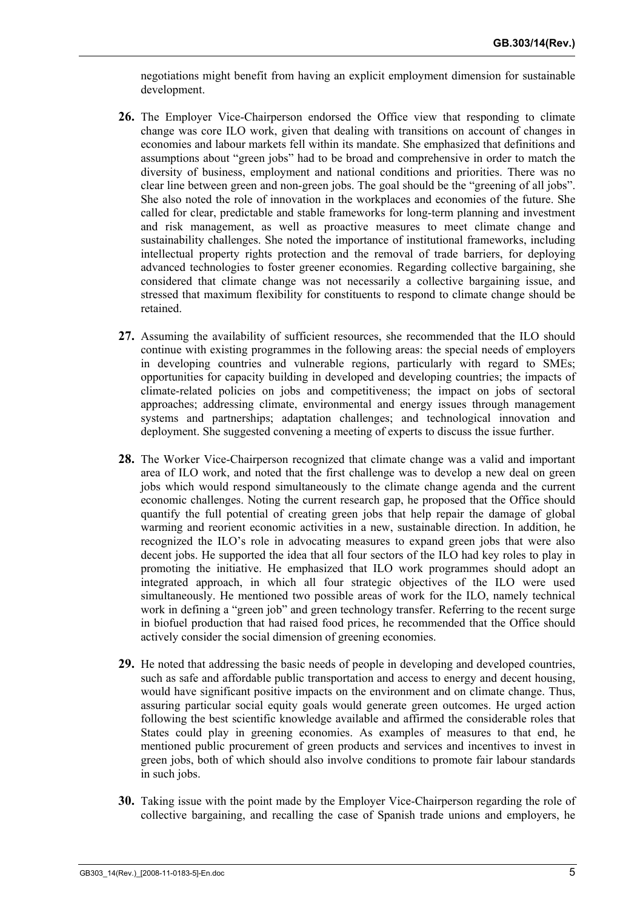negotiations might benefit from having an explicit employment dimension for sustainable development.

- **26.** The Employer Vice-Chairperson endorsed the Office view that responding to climate change was core ILO work, given that dealing with transitions on account of changes in economies and labour markets fell within its mandate. She emphasized that definitions and assumptions about "green jobs" had to be broad and comprehensive in order to match the diversity of business, employment and national conditions and priorities. There was no clear line between green and non-green jobs. The goal should be the "greening of all jobs". She also noted the role of innovation in the workplaces and economies of the future. She called for clear, predictable and stable frameworks for long-term planning and investment and risk management, as well as proactive measures to meet climate change and sustainability challenges. She noted the importance of institutional frameworks, including intellectual property rights protection and the removal of trade barriers, for deploying advanced technologies to foster greener economies. Regarding collective bargaining, she considered that climate change was not necessarily a collective bargaining issue, and stressed that maximum flexibility for constituents to respond to climate change should be retained.
- **27.** Assuming the availability of sufficient resources, she recommended that the ILO should continue with existing programmes in the following areas: the special needs of employers in developing countries and vulnerable regions, particularly with regard to SMEs; opportunities for capacity building in developed and developing countries; the impacts of climate-related policies on jobs and competitiveness; the impact on jobs of sectoral approaches; addressing climate, environmental and energy issues through management systems and partnerships; adaptation challenges; and technological innovation and deployment. She suggested convening a meeting of experts to discuss the issue further.
- **28.** The Worker Vice-Chairperson recognized that climate change was a valid and important area of ILO work, and noted that the first challenge was to develop a new deal on green jobs which would respond simultaneously to the climate change agenda and the current economic challenges. Noting the current research gap, he proposed that the Office should quantify the full potential of creating green jobs that help repair the damage of global warming and reorient economic activities in a new, sustainable direction. In addition, he recognized the ILO's role in advocating measures to expand green jobs that were also decent jobs. He supported the idea that all four sectors of the ILO had key roles to play in promoting the initiative. He emphasized that ILO work programmes should adopt an integrated approach, in which all four strategic objectives of the ILO were used simultaneously. He mentioned two possible areas of work for the ILO, namely technical work in defining a "green job" and green technology transfer. Referring to the recent surge in biofuel production that had raised food prices, he recommended that the Office should actively consider the social dimension of greening economies.
- **29.** He noted that addressing the basic needs of people in developing and developed countries, such as safe and affordable public transportation and access to energy and decent housing, would have significant positive impacts on the environment and on climate change. Thus, assuring particular social equity goals would generate green outcomes. He urged action following the best scientific knowledge available and affirmed the considerable roles that States could play in greening economies. As examples of measures to that end, he mentioned public procurement of green products and services and incentives to invest in green jobs, both of which should also involve conditions to promote fair labour standards in such jobs.
- **30.** Taking issue with the point made by the Employer Vice-Chairperson regarding the role of collective bargaining, and recalling the case of Spanish trade unions and employers, he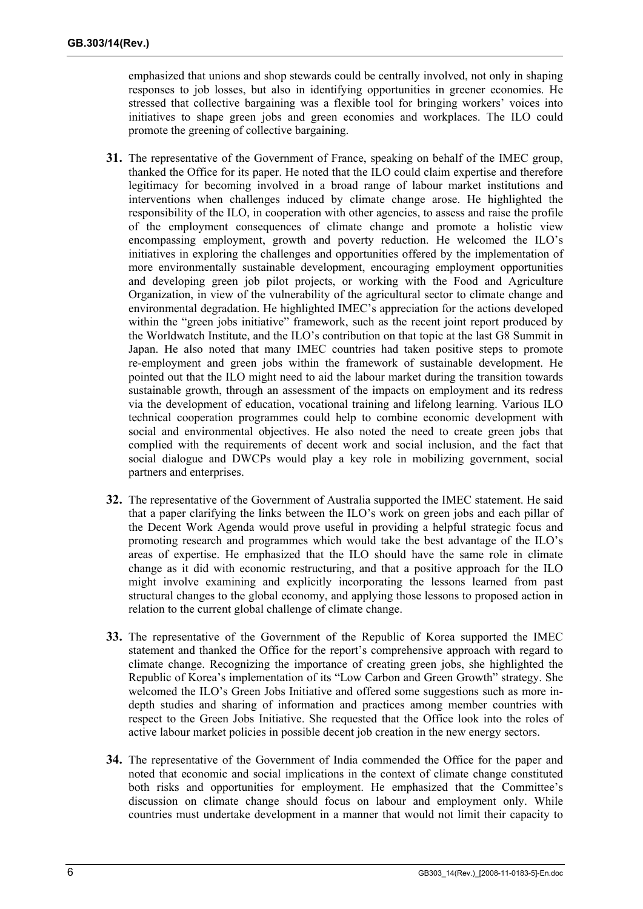emphasized that unions and shop stewards could be centrally involved, not only in shaping responses to job losses, but also in identifying opportunities in greener economies. He stressed that collective bargaining was a flexible tool for bringing workers' voices into initiatives to shape green jobs and green economies and workplaces. The ILO could promote the greening of collective bargaining.

- **31.** The representative of the Government of France, speaking on behalf of the IMEC group, thanked the Office for its paper. He noted that the ILO could claim expertise and therefore legitimacy for becoming involved in a broad range of labour market institutions and interventions when challenges induced by climate change arose. He highlighted the responsibility of the ILO, in cooperation with other agencies, to assess and raise the profile of the employment consequences of climate change and promote a holistic view encompassing employment, growth and poverty reduction. He welcomed the ILO's initiatives in exploring the challenges and opportunities offered by the implementation of more environmentally sustainable development, encouraging employment opportunities and developing green job pilot projects, or working with the Food and Agriculture Organization, in view of the vulnerability of the agricultural sector to climate change and environmental degradation. He highlighted IMEC's appreciation for the actions developed within the "green jobs initiative" framework, such as the recent joint report produced by the Worldwatch Institute, and the ILO's contribution on that topic at the last G8 Summit in Japan. He also noted that many IMEC countries had taken positive steps to promote re-employment and green jobs within the framework of sustainable development. He pointed out that the ILO might need to aid the labour market during the transition towards sustainable growth, through an assessment of the impacts on employment and its redress via the development of education, vocational training and lifelong learning. Various ILO technical cooperation programmes could help to combine economic development with social and environmental objectives. He also noted the need to create green jobs that complied with the requirements of decent work and social inclusion, and the fact that social dialogue and DWCPs would play a key role in mobilizing government, social partners and enterprises.
- **32.** The representative of the Government of Australia supported the IMEC statement. He said that a paper clarifying the links between the ILO's work on green jobs and each pillar of the Decent Work Agenda would prove useful in providing a helpful strategic focus and promoting research and programmes which would take the best advantage of the ILO's areas of expertise. He emphasized that the ILO should have the same role in climate change as it did with economic restructuring, and that a positive approach for the ILO might involve examining and explicitly incorporating the lessons learned from past structural changes to the global economy, and applying those lessons to proposed action in relation to the current global challenge of climate change.
- **33.** The representative of the Government of the Republic of Korea supported the IMEC statement and thanked the Office for the report's comprehensive approach with regard to climate change. Recognizing the importance of creating green jobs, she highlighted the Republic of Korea's implementation of its "Low Carbon and Green Growth" strategy. She welcomed the ILO's Green Jobs Initiative and offered some suggestions such as more indepth studies and sharing of information and practices among member countries with respect to the Green Jobs Initiative. She requested that the Office look into the roles of active labour market policies in possible decent job creation in the new energy sectors.
- **34.** The representative of the Government of India commended the Office for the paper and noted that economic and social implications in the context of climate change constituted both risks and opportunities for employment. He emphasized that the Committee's discussion on climate change should focus on labour and employment only. While countries must undertake development in a manner that would not limit their capacity to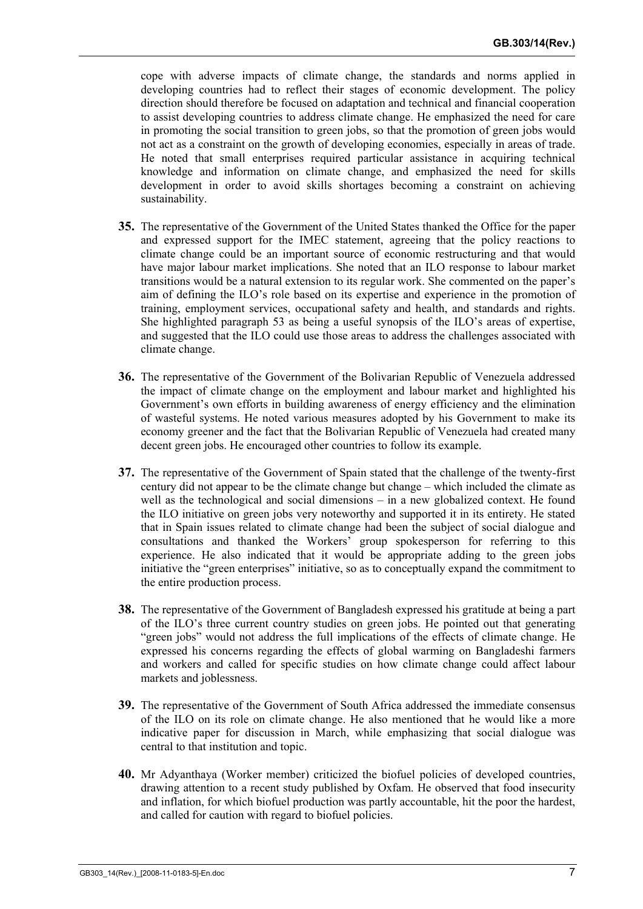cope with adverse impacts of climate change, the standards and norms applied in developing countries had to reflect their stages of economic development. The policy direction should therefore be focused on adaptation and technical and financial cooperation to assist developing countries to address climate change. He emphasized the need for care in promoting the social transition to green jobs, so that the promotion of green jobs would not act as a constraint on the growth of developing economies, especially in areas of trade. He noted that small enterprises required particular assistance in acquiring technical knowledge and information on climate change, and emphasized the need for skills development in order to avoid skills shortages becoming a constraint on achieving sustainability.

- **35.** The representative of the Government of the United States thanked the Office for the paper and expressed support for the IMEC statement, agreeing that the policy reactions to climate change could be an important source of economic restructuring and that would have major labour market implications. She noted that an ILO response to labour market transitions would be a natural extension to its regular work. She commented on the paper's aim of defining the ILO's role based on its expertise and experience in the promotion of training, employment services, occupational safety and health, and standards and rights. She highlighted paragraph 53 as being a useful synopsis of the ILO's areas of expertise, and suggested that the ILO could use those areas to address the challenges associated with climate change.
- **36.** The representative of the Government of the Bolivarian Republic of Venezuela addressed the impact of climate change on the employment and labour market and highlighted his Government's own efforts in building awareness of energy efficiency and the elimination of wasteful systems. He noted various measures adopted by his Government to make its economy greener and the fact that the Bolivarian Republic of Venezuela had created many decent green jobs. He encouraged other countries to follow its example.
- **37.** The representative of the Government of Spain stated that the challenge of the twenty-first century did not appear to be the climate change but change – which included the climate as well as the technological and social dimensions – in a new globalized context. He found the ILO initiative on green jobs very noteworthy and supported it in its entirety. He stated that in Spain issues related to climate change had been the subject of social dialogue and consultations and thanked the Workers' group spokesperson for referring to this experience. He also indicated that it would be appropriate adding to the green jobs initiative the "green enterprises" initiative, so as to conceptually expand the commitment to the entire production process.
- **38.** The representative of the Government of Bangladesh expressed his gratitude at being a part of the ILO's three current country studies on green jobs. He pointed out that generating "green jobs" would not address the full implications of the effects of climate change. He expressed his concerns regarding the effects of global warming on Bangladeshi farmers and workers and called for specific studies on how climate change could affect labour markets and joblessness.
- **39.** The representative of the Government of South Africa addressed the immediate consensus of the ILO on its role on climate change. He also mentioned that he would like a more indicative paper for discussion in March, while emphasizing that social dialogue was central to that institution and topic.
- **40.** Mr Adyanthaya (Worker member) criticized the biofuel policies of developed countries, drawing attention to a recent study published by Oxfam. He observed that food insecurity and inflation, for which biofuel production was partly accountable, hit the poor the hardest, and called for caution with regard to biofuel policies.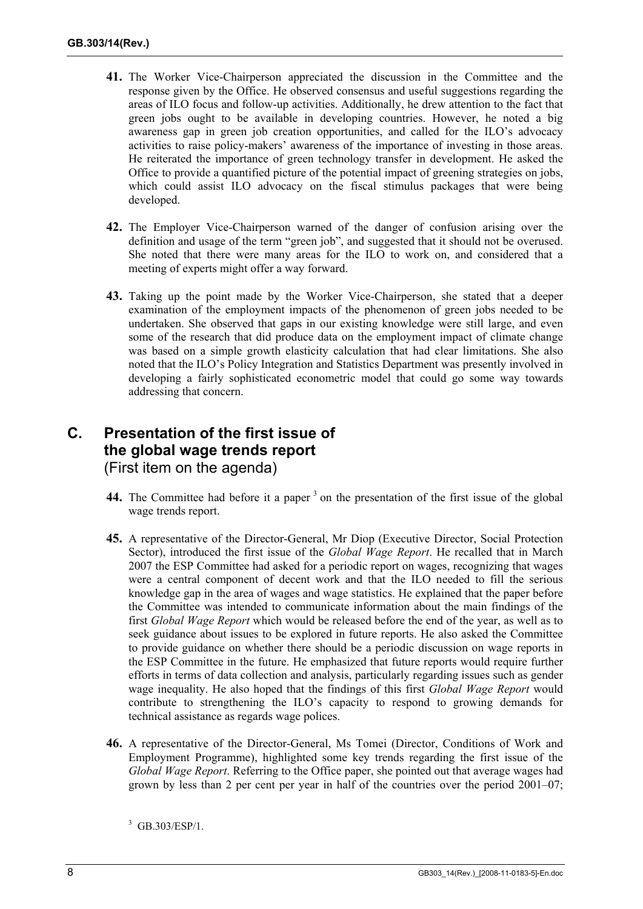- **41.** The Worker Vice-Chairperson appreciated the discussion in the Committee and the response given by the Office. He observed consensus and useful suggestions regarding the areas of ILO focus and follow-up activities. Additionally, he drew attention to the fact that green jobs ought to be available in developing countries. However, he noted a big awareness gap in green job creation opportunities, and called for the ILO's advocacy activities to raise policy-makers' awareness of the importance of investing in those areas. He reiterated the importance of green technology transfer in development. He asked the Office to provide a quantified picture of the potential impact of greening strategies on jobs, which could assist ILO advocacy on the fiscal stimulus packages that were being developed.
- **42.** The Employer Vice-Chairperson warned of the danger of confusion arising over the definition and usage of the term "green job", and suggested that it should not be overused. She noted that there were many areas for the ILO to work on, and considered that a meeting of experts might offer a way forward.
- **43.** Taking up the point made by the Worker Vice-Chairperson, she stated that a deeper examination of the employment impacts of the phenomenon of green jobs needed to be undertaken. She observed that gaps in our existing knowledge were still large, and even some of the research that did produce data on the employment impact of climate change was based on a simple growth elasticity calculation that had clear limitations. She also noted that the ILO's Policy Integration and Statistics Department was presently involved in developing a fairly sophisticated econometric model that could go some way towards addressing that concern.

### **C. Presentation of the first issue of the global wage trends report**  (First item on the agenda)

- **44.** The Committee had before it a paper<sup>3</sup> on the presentation of the first issue of the global wage trends report.
- **45.** A representative of the Director-General, Mr Diop (Executive Director, Social Protection Sector), introduced the first issue of the *Global Wage Report*. He recalled that in March 2007 the ESP Committee had asked for a periodic report on wages, recognizing that wages were a central component of decent work and that the ILO needed to fill the serious knowledge gap in the area of wages and wage statistics. He explained that the paper before the Committee was intended to communicate information about the main findings of the first *Global Wage Report* which would be released before the end of the year, as well as to seek guidance about issues to be explored in future reports. He also asked the Committee to provide guidance on whether there should be a periodic discussion on wage reports in the ESP Committee in the future. He emphasized that future reports would require further efforts in terms of data collection and analysis, particularly regarding issues such as gender wage inequality. He also hoped that the findings of this first *Global Wage Report* would contribute to strengthening the ILO's capacity to respond to growing demands for technical assistance as regards wage polices.
- **46.** A representative of the Director-General, Ms Tomei (Director, Conditions of Work and Employment Programme), highlighted some key trends regarding the first issue of the *Global Wage Report*. Referring to the Office paper, she pointed out that average wages had grown by less than 2 per cent per year in half of the countries over the period 2001–07;

 $3$  GB.303/ESP/1.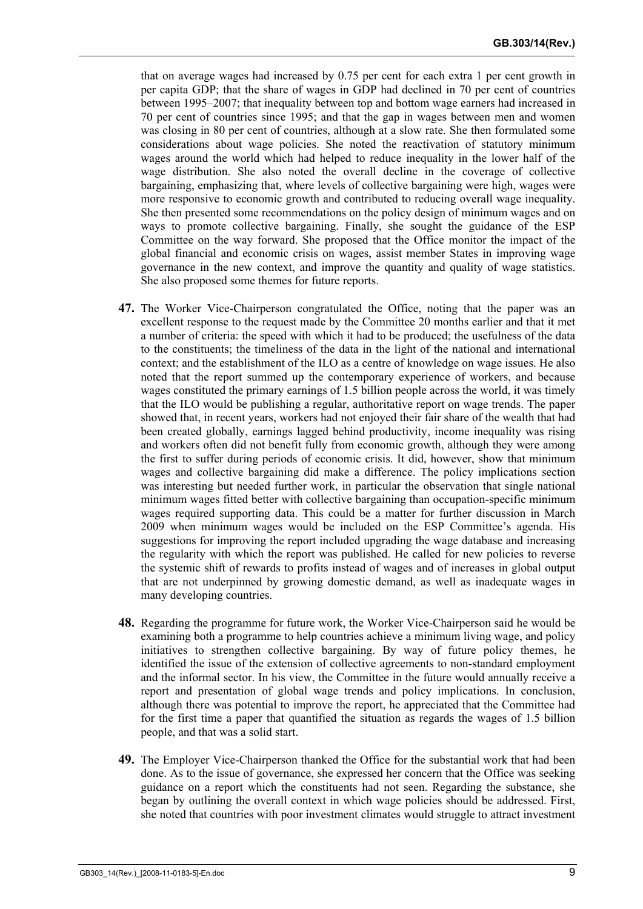that on average wages had increased by 0.75 per cent for each extra 1 per cent growth in per capita GDP; that the share of wages in GDP had declined in 70 per cent of countries between 1995–2007; that inequality between top and bottom wage earners had increased in 70 per cent of countries since 1995; and that the gap in wages between men and women was closing in 80 per cent of countries, although at a slow rate. She then formulated some considerations about wage policies. She noted the reactivation of statutory minimum wages around the world which had helped to reduce inequality in the lower half of the wage distribution. She also noted the overall decline in the coverage of collective bargaining, emphasizing that, where levels of collective bargaining were high, wages were more responsive to economic growth and contributed to reducing overall wage inequality. She then presented some recommendations on the policy design of minimum wages and on ways to promote collective bargaining. Finally, she sought the guidance of the ESP Committee on the way forward. She proposed that the Office monitor the impact of the global financial and economic crisis on wages, assist member States in improving wage governance in the new context, and improve the quantity and quality of wage statistics. She also proposed some themes for future reports.

- **47.** The Worker Vice-Chairperson congratulated the Office, noting that the paper was an excellent response to the request made by the Committee 20 months earlier and that it met a number of criteria: the speed with which it had to be produced; the usefulness of the data to the constituents; the timeliness of the data in the light of the national and international context; and the establishment of the ILO as a centre of knowledge on wage issues. He also noted that the report summed up the contemporary experience of workers, and because wages constituted the primary earnings of 1.5 billion people across the world, it was timely that the ILO would be publishing a regular, authoritative report on wage trends. The paper showed that, in recent years, workers had not enjoyed their fair share of the wealth that had been created globally, earnings lagged behind productivity, income inequality was rising and workers often did not benefit fully from economic growth, although they were among the first to suffer during periods of economic crisis. It did, however, show that minimum wages and collective bargaining did make a difference. The policy implications section was interesting but needed further work, in particular the observation that single national minimum wages fitted better with collective bargaining than occupation-specific minimum wages required supporting data. This could be a matter for further discussion in March 2009 when minimum wages would be included on the ESP Committee's agenda. His suggestions for improving the report included upgrading the wage database and increasing the regularity with which the report was published. He called for new policies to reverse the systemic shift of rewards to profits instead of wages and of increases in global output that are not underpinned by growing domestic demand, as well as inadequate wages in many developing countries.
- **48.** Regarding the programme for future work, the Worker Vice-Chairperson said he would be examining both a programme to help countries achieve a minimum living wage, and policy initiatives to strengthen collective bargaining. By way of future policy themes, he identified the issue of the extension of collective agreements to non-standard employment and the informal sector. In his view, the Committee in the future would annually receive a report and presentation of global wage trends and policy implications. In conclusion, although there was potential to improve the report, he appreciated that the Committee had for the first time a paper that quantified the situation as regards the wages of 1.5 billion people, and that was a solid start.
- **49.** The Employer Vice-Chairperson thanked the Office for the substantial work that had been done. As to the issue of governance, she expressed her concern that the Office was seeking guidance on a report which the constituents had not seen. Regarding the substance, she began by outlining the overall context in which wage policies should be addressed. First, she noted that countries with poor investment climates would struggle to attract investment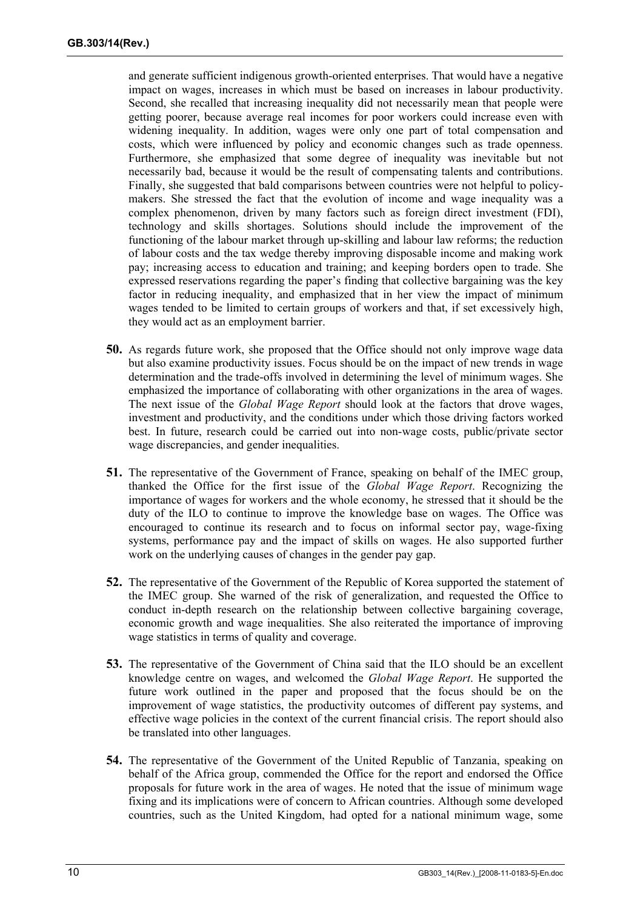and generate sufficient indigenous growth-oriented enterprises. That would have a negative impact on wages, increases in which must be based on increases in labour productivity. Second, she recalled that increasing inequality did not necessarily mean that people were getting poorer, because average real incomes for poor workers could increase even with widening inequality. In addition, wages were only one part of total compensation and costs, which were influenced by policy and economic changes such as trade openness. Furthermore, she emphasized that some degree of inequality was inevitable but not necessarily bad, because it would be the result of compensating talents and contributions. Finally, she suggested that bald comparisons between countries were not helpful to policymakers. She stressed the fact that the evolution of income and wage inequality was a complex phenomenon, driven by many factors such as foreign direct investment (FDI), technology and skills shortages. Solutions should include the improvement of the functioning of the labour market through up-skilling and labour law reforms; the reduction of labour costs and the tax wedge thereby improving disposable income and making work pay; increasing access to education and training; and keeping borders open to trade. She expressed reservations regarding the paper's finding that collective bargaining was the key factor in reducing inequality, and emphasized that in her view the impact of minimum wages tended to be limited to certain groups of workers and that, if set excessively high, they would act as an employment barrier.

- **50.** As regards future work, she proposed that the Office should not only improve wage data but also examine productivity issues. Focus should be on the impact of new trends in wage determination and the trade-offs involved in determining the level of minimum wages. She emphasized the importance of collaborating with other organizations in the area of wages. The next issue of the *Global Wage Report* should look at the factors that drove wages, investment and productivity, and the conditions under which those driving factors worked best. In future, research could be carried out into non-wage costs, public/private sector wage discrepancies, and gender inequalities.
- **51.** The representative of the Government of France, speaking on behalf of the IMEC group, thanked the Office for the first issue of the *Global Wage Report*. Recognizing the importance of wages for workers and the whole economy, he stressed that it should be the duty of the ILO to continue to improve the knowledge base on wages. The Office was encouraged to continue its research and to focus on informal sector pay, wage-fixing systems, performance pay and the impact of skills on wages. He also supported further work on the underlying causes of changes in the gender pay gap.
- **52.** The representative of the Government of the Republic of Korea supported the statement of the IMEC group. She warned of the risk of generalization, and requested the Office to conduct in-depth research on the relationship between collective bargaining coverage, economic growth and wage inequalities. She also reiterated the importance of improving wage statistics in terms of quality and coverage.
- **53.** The representative of the Government of China said that the ILO should be an excellent knowledge centre on wages, and welcomed the *Global Wage Report*. He supported the future work outlined in the paper and proposed that the focus should be on the improvement of wage statistics, the productivity outcomes of different pay systems, and effective wage policies in the context of the current financial crisis. The report should also be translated into other languages.
- **54.** The representative of the Government of the United Republic of Tanzania, speaking on behalf of the Africa group, commended the Office for the report and endorsed the Office proposals for future work in the area of wages. He noted that the issue of minimum wage fixing and its implications were of concern to African countries. Although some developed countries, such as the United Kingdom, had opted for a national minimum wage, some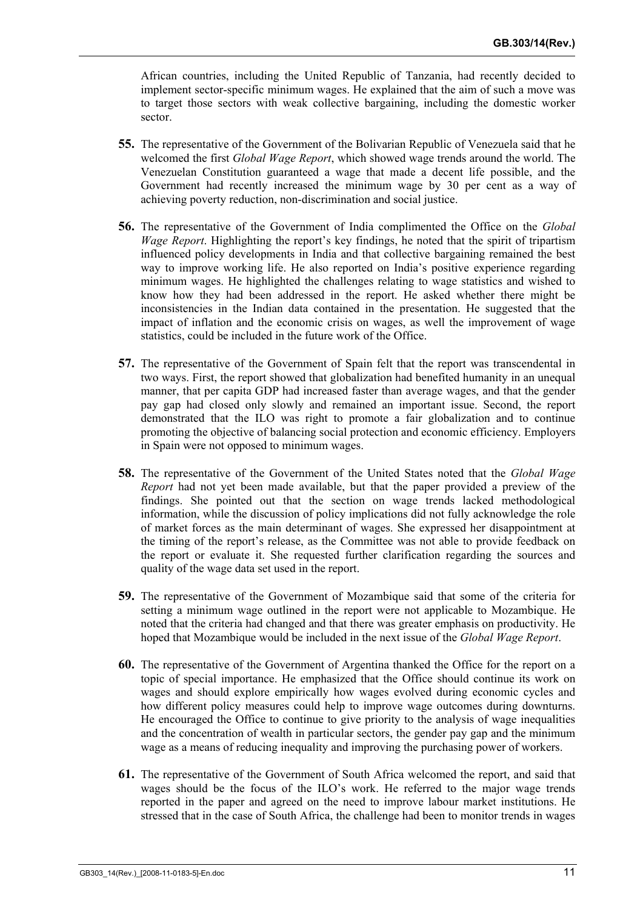African countries, including the United Republic of Tanzania, had recently decided to implement sector-specific minimum wages. He explained that the aim of such a move was to target those sectors with weak collective bargaining, including the domestic worker sector.

- **55.** The representative of the Government of the Bolivarian Republic of Venezuela said that he welcomed the first *Global Wage Report*, which showed wage trends around the world. The Venezuelan Constitution guaranteed a wage that made a decent life possible, and the Government had recently increased the minimum wage by 30 per cent as a way of achieving poverty reduction, non-discrimination and social justice.
- **56.** The representative of the Government of India complimented the Office on the *Global Wage Report*. Highlighting the report's key findings, he noted that the spirit of tripartism influenced policy developments in India and that collective bargaining remained the best way to improve working life. He also reported on India's positive experience regarding minimum wages. He highlighted the challenges relating to wage statistics and wished to know how they had been addressed in the report. He asked whether there might be inconsistencies in the Indian data contained in the presentation. He suggested that the impact of inflation and the economic crisis on wages, as well the improvement of wage statistics, could be included in the future work of the Office.
- **57.** The representative of the Government of Spain felt that the report was transcendental in two ways. First, the report showed that globalization had benefited humanity in an unequal manner, that per capita GDP had increased faster than average wages, and that the gender pay gap had closed only slowly and remained an important issue. Second, the report demonstrated that the ILO was right to promote a fair globalization and to continue promoting the objective of balancing social protection and economic efficiency. Employers in Spain were not opposed to minimum wages.
- **58.** The representative of the Government of the United States noted that the *Global Wage Report* had not yet been made available, but that the paper provided a preview of the findings. She pointed out that the section on wage trends lacked methodological information, while the discussion of policy implications did not fully acknowledge the role of market forces as the main determinant of wages. She expressed her disappointment at the timing of the report's release, as the Committee was not able to provide feedback on the report or evaluate it. She requested further clarification regarding the sources and quality of the wage data set used in the report.
- **59.** The representative of the Government of Mozambique said that some of the criteria for setting a minimum wage outlined in the report were not applicable to Mozambique. He noted that the criteria had changed and that there was greater emphasis on productivity. He hoped that Mozambique would be included in the next issue of the *Global Wage Report*.
- **60.** The representative of the Government of Argentina thanked the Office for the report on a topic of special importance. He emphasized that the Office should continue its work on wages and should explore empirically how wages evolved during economic cycles and how different policy measures could help to improve wage outcomes during downturns. He encouraged the Office to continue to give priority to the analysis of wage inequalities and the concentration of wealth in particular sectors, the gender pay gap and the minimum wage as a means of reducing inequality and improving the purchasing power of workers.
- **61.** The representative of the Government of South Africa welcomed the report, and said that wages should be the focus of the ILO's work. He referred to the major wage trends reported in the paper and agreed on the need to improve labour market institutions. He stressed that in the case of South Africa, the challenge had been to monitor trends in wages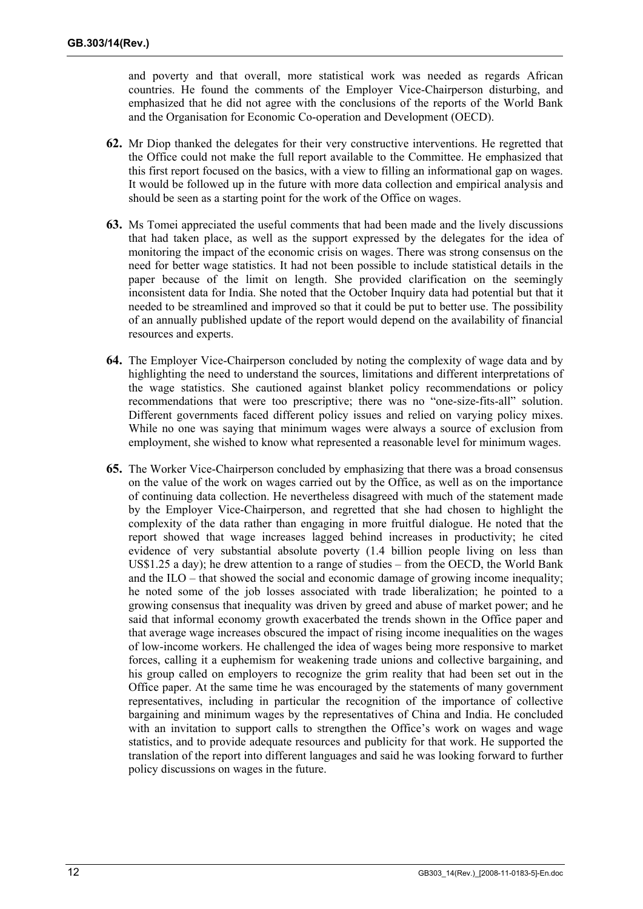and poverty and that overall, more statistical work was needed as regards African countries. He found the comments of the Employer Vice-Chairperson disturbing, and emphasized that he did not agree with the conclusions of the reports of the World Bank and the Organisation for Economic Co-operation and Development (OECD).

- **62.** Mr Diop thanked the delegates for their very constructive interventions. He regretted that the Office could not make the full report available to the Committee. He emphasized that this first report focused on the basics, with a view to filling an informational gap on wages. It would be followed up in the future with more data collection and empirical analysis and should be seen as a starting point for the work of the Office on wages.
- **63.** Ms Tomei appreciated the useful comments that had been made and the lively discussions that had taken place, as well as the support expressed by the delegates for the idea of monitoring the impact of the economic crisis on wages. There was strong consensus on the need for better wage statistics. It had not been possible to include statistical details in the paper because of the limit on length. She provided clarification on the seemingly inconsistent data for India. She noted that the October Inquiry data had potential but that it needed to be streamlined and improved so that it could be put to better use. The possibility of an annually published update of the report would depend on the availability of financial resources and experts.
- **64.** The Employer Vice-Chairperson concluded by noting the complexity of wage data and by highlighting the need to understand the sources, limitations and different interpretations of the wage statistics. She cautioned against blanket policy recommendations or policy recommendations that were too prescriptive; there was no "one-size-fits-all" solution. Different governments faced different policy issues and relied on varying policy mixes. While no one was saying that minimum wages were always a source of exclusion from employment, she wished to know what represented a reasonable level for minimum wages.
- **65.** The Worker Vice-Chairperson concluded by emphasizing that there was a broad consensus on the value of the work on wages carried out by the Office, as well as on the importance of continuing data collection. He nevertheless disagreed with much of the statement made by the Employer Vice-Chairperson, and regretted that she had chosen to highlight the complexity of the data rather than engaging in more fruitful dialogue. He noted that the report showed that wage increases lagged behind increases in productivity; he cited evidence of very substantial absolute poverty (1.4 billion people living on less than US\$1.25 a day); he drew attention to a range of studies – from the OECD, the World Bank and the ILO – that showed the social and economic damage of growing income inequality; he noted some of the job losses associated with trade liberalization; he pointed to a growing consensus that inequality was driven by greed and abuse of market power; and he said that informal economy growth exacerbated the trends shown in the Office paper and that average wage increases obscured the impact of rising income inequalities on the wages of low-income workers. He challenged the idea of wages being more responsive to market forces, calling it a euphemism for weakening trade unions and collective bargaining, and his group called on employers to recognize the grim reality that had been set out in the Office paper. At the same time he was encouraged by the statements of many government representatives, including in particular the recognition of the importance of collective bargaining and minimum wages by the representatives of China and India. He concluded with an invitation to support calls to strengthen the Office's work on wages and wage statistics, and to provide adequate resources and publicity for that work. He supported the translation of the report into different languages and said he was looking forward to further policy discussions on wages in the future.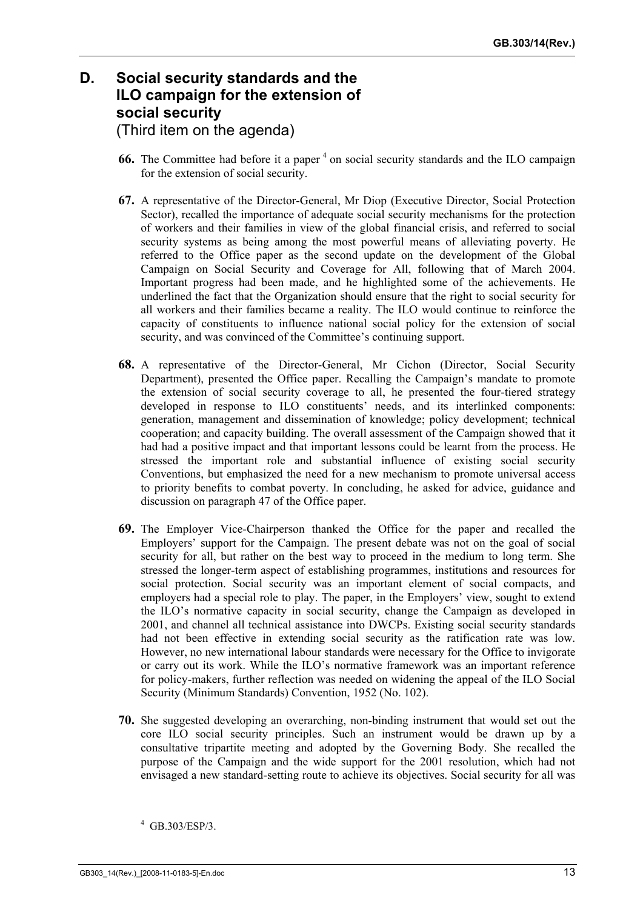## **D. Social security standards and the ILO campaign for the extension of social security**  (Third item on the agenda)

- **66.** The Committee had before it a paper<sup>4</sup> on social security standards and the ILO campaign for the extension of social security.
- **67.** A representative of the Director-General, Mr Diop (Executive Director, Social Protection Sector), recalled the importance of adequate social security mechanisms for the protection of workers and their families in view of the global financial crisis, and referred to social security systems as being among the most powerful means of alleviating poverty. He referred to the Office paper as the second update on the development of the Global Campaign on Social Security and Coverage for All, following that of March 2004. Important progress had been made, and he highlighted some of the achievements. He underlined the fact that the Organization should ensure that the right to social security for all workers and their families became a reality. The ILO would continue to reinforce the capacity of constituents to influence national social policy for the extension of social security, and was convinced of the Committee's continuing support.
- **68.** A representative of the Director-General, Mr Cichon (Director, Social Security Department), presented the Office paper. Recalling the Campaign's mandate to promote the extension of social security coverage to all, he presented the four-tiered strategy developed in response to ILO constituents' needs, and its interlinked components: generation, management and dissemination of knowledge; policy development; technical cooperation; and capacity building. The overall assessment of the Campaign showed that it had had a positive impact and that important lessons could be learnt from the process. He stressed the important role and substantial influence of existing social security Conventions, but emphasized the need for a new mechanism to promote universal access to priority benefits to combat poverty. In concluding, he asked for advice, guidance and discussion on paragraph 47 of the Office paper.
- **69.** The Employer Vice-Chairperson thanked the Office for the paper and recalled the Employers' support for the Campaign. The present debate was not on the goal of social security for all, but rather on the best way to proceed in the medium to long term. She stressed the longer-term aspect of establishing programmes, institutions and resources for social protection. Social security was an important element of social compacts, and employers had a special role to play. The paper, in the Employers' view, sought to extend the ILO's normative capacity in social security, change the Campaign as developed in 2001, and channel all technical assistance into DWCPs. Existing social security standards had not been effective in extending social security as the ratification rate was low. However, no new international labour standards were necessary for the Office to invigorate or carry out its work. While the ILO's normative framework was an important reference for policy-makers, further reflection was needed on widening the appeal of the ILO Social Security (Minimum Standards) Convention, 1952 (No. 102).
- **70.** She suggested developing an overarching, non-binding instrument that would set out the core ILO social security principles. Such an instrument would be drawn up by a consultative tripartite meeting and adopted by the Governing Body. She recalled the purpose of the Campaign and the wide support for the 2001 resolution, which had not envisaged a new standard-setting route to achieve its objectives. Social security for all was

<sup>4</sup> GB.303/ESP/3.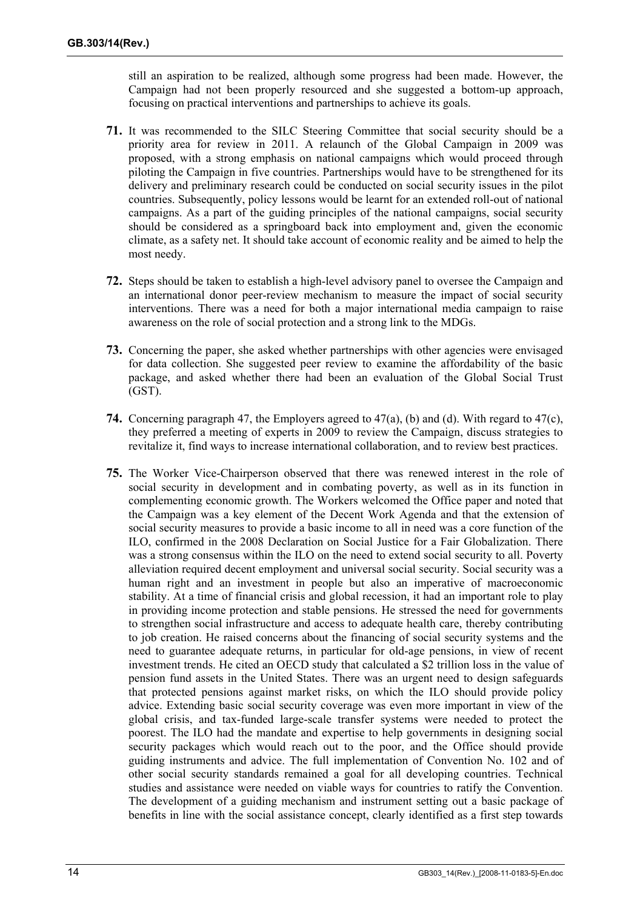still an aspiration to be realized, although some progress had been made. However, the Campaign had not been properly resourced and she suggested a bottom-up approach, focusing on practical interventions and partnerships to achieve its goals.

- **71.** It was recommended to the SILC Steering Committee that social security should be a priority area for review in 2011. A relaunch of the Global Campaign in 2009 was proposed, with a strong emphasis on national campaigns which would proceed through piloting the Campaign in five countries. Partnerships would have to be strengthened for its delivery and preliminary research could be conducted on social security issues in the pilot countries. Subsequently, policy lessons would be learnt for an extended roll-out of national campaigns. As a part of the guiding principles of the national campaigns, social security should be considered as a springboard back into employment and, given the economic climate, as a safety net. It should take account of economic reality and be aimed to help the most needy.
- **72.** Steps should be taken to establish a high-level advisory panel to oversee the Campaign and an international donor peer-review mechanism to measure the impact of social security interventions. There was a need for both a major international media campaign to raise awareness on the role of social protection and a strong link to the MDGs.
- **73.** Concerning the paper, she asked whether partnerships with other agencies were envisaged for data collection. She suggested peer review to examine the affordability of the basic package, and asked whether there had been an evaluation of the Global Social Trust (GST).
- **74.** Concerning paragraph 47, the Employers agreed to 47(a), (b) and (d). With regard to 47(c), they preferred a meeting of experts in 2009 to review the Campaign, discuss strategies to revitalize it, find ways to increase international collaboration, and to review best practices.
- **75.** The Worker Vice-Chairperson observed that there was renewed interest in the role of social security in development and in combating poverty, as well as in its function in complementing economic growth. The Workers welcomed the Office paper and noted that the Campaign was a key element of the Decent Work Agenda and that the extension of social security measures to provide a basic income to all in need was a core function of the ILO, confirmed in the 2008 Declaration on Social Justice for a Fair Globalization. There was a strong consensus within the ILO on the need to extend social security to all. Poverty alleviation required decent employment and universal social security. Social security was a human right and an investment in people but also an imperative of macroeconomic stability. At a time of financial crisis and global recession, it had an important role to play in providing income protection and stable pensions. He stressed the need for governments to strengthen social infrastructure and access to adequate health care, thereby contributing to job creation. He raised concerns about the financing of social security systems and the need to guarantee adequate returns, in particular for old-age pensions, in view of recent investment trends. He cited an OECD study that calculated a \$2 trillion loss in the value of pension fund assets in the United States. There was an urgent need to design safeguards that protected pensions against market risks, on which the ILO should provide policy advice. Extending basic social security coverage was even more important in view of the global crisis, and tax-funded large-scale transfer systems were needed to protect the poorest. The ILO had the mandate and expertise to help governments in designing social security packages which would reach out to the poor, and the Office should provide guiding instruments and advice. The full implementation of Convention No. 102 and of other social security standards remained a goal for all developing countries. Technical studies and assistance were needed on viable ways for countries to ratify the Convention. The development of a guiding mechanism and instrument setting out a basic package of benefits in line with the social assistance concept, clearly identified as a first step towards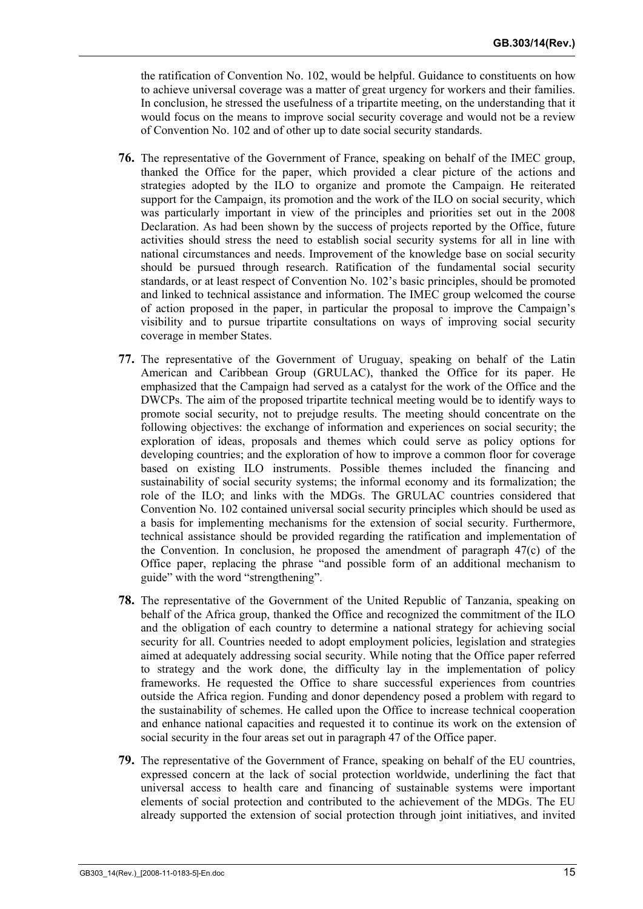the ratification of Convention No. 102, would be helpful. Guidance to constituents on how to achieve universal coverage was a matter of great urgency for workers and their families. In conclusion, he stressed the usefulness of a tripartite meeting, on the understanding that it would focus on the means to improve social security coverage and would not be a review of Convention No. 102 and of other up to date social security standards.

- **76.** The representative of the Government of France, speaking on behalf of the IMEC group, thanked the Office for the paper, which provided a clear picture of the actions and strategies adopted by the ILO to organize and promote the Campaign. He reiterated support for the Campaign, its promotion and the work of the ILO on social security, which was particularly important in view of the principles and priorities set out in the 2008 Declaration. As had been shown by the success of projects reported by the Office, future activities should stress the need to establish social security systems for all in line with national circumstances and needs. Improvement of the knowledge base on social security should be pursued through research. Ratification of the fundamental social security standards, or at least respect of Convention No. 102's basic principles, should be promoted and linked to technical assistance and information. The IMEC group welcomed the course of action proposed in the paper, in particular the proposal to improve the Campaign's visibility and to pursue tripartite consultations on ways of improving social security coverage in member States.
- **77.** The representative of the Government of Uruguay, speaking on behalf of the Latin American and Caribbean Group (GRULAC), thanked the Office for its paper. He emphasized that the Campaign had served as a catalyst for the work of the Office and the DWCPs. The aim of the proposed tripartite technical meeting would be to identify ways to promote social security, not to prejudge results. The meeting should concentrate on the following objectives: the exchange of information and experiences on social security; the exploration of ideas, proposals and themes which could serve as policy options for developing countries; and the exploration of how to improve a common floor for coverage based on existing ILO instruments. Possible themes included the financing and sustainability of social security systems; the informal economy and its formalization; the role of the ILO; and links with the MDGs. The GRULAC countries considered that Convention No. 102 contained universal social security principles which should be used as a basis for implementing mechanisms for the extension of social security. Furthermore, technical assistance should be provided regarding the ratification and implementation of the Convention. In conclusion, he proposed the amendment of paragraph 47(c) of the Office paper, replacing the phrase "and possible form of an additional mechanism to guide" with the word "strengthening".
- **78.** The representative of the Government of the United Republic of Tanzania, speaking on behalf of the Africa group, thanked the Office and recognized the commitment of the ILO and the obligation of each country to determine a national strategy for achieving social security for all. Countries needed to adopt employment policies, legislation and strategies aimed at adequately addressing social security. While noting that the Office paper referred to strategy and the work done, the difficulty lay in the implementation of policy frameworks. He requested the Office to share successful experiences from countries outside the Africa region. Funding and donor dependency posed a problem with regard to the sustainability of schemes. He called upon the Office to increase technical cooperation and enhance national capacities and requested it to continue its work on the extension of social security in the four areas set out in paragraph 47 of the Office paper.
- **79.** The representative of the Government of France, speaking on behalf of the EU countries, expressed concern at the lack of social protection worldwide, underlining the fact that universal access to health care and financing of sustainable systems were important elements of social protection and contributed to the achievement of the MDGs. The EU already supported the extension of social protection through joint initiatives, and invited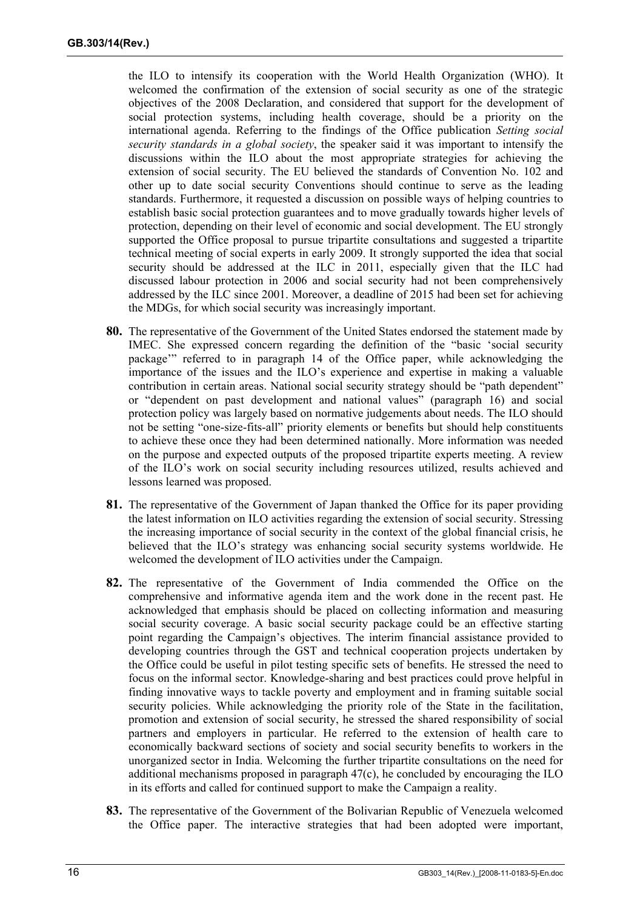the ILO to intensify its cooperation with the World Health Organization (WHO). It welcomed the confirmation of the extension of social security as one of the strategic objectives of the 2008 Declaration, and considered that support for the development of social protection systems, including health coverage, should be a priority on the international agenda. Referring to the findings of the Office publication *Setting social security standards in a global society*, the speaker said it was important to intensify the discussions within the ILO about the most appropriate strategies for achieving the extension of social security. The EU believed the standards of Convention No. 102 and other up to date social security Conventions should continue to serve as the leading standards. Furthermore, it requested a discussion on possible ways of helping countries to establish basic social protection guarantees and to move gradually towards higher levels of protection, depending on their level of economic and social development. The EU strongly supported the Office proposal to pursue tripartite consultations and suggested a tripartite technical meeting of social experts in early 2009. It strongly supported the idea that social security should be addressed at the ILC in 2011, especially given that the ILC had discussed labour protection in 2006 and social security had not been comprehensively addressed by the ILC since 2001. Moreover, a deadline of 2015 had been set for achieving the MDGs, for which social security was increasingly important.

- **80.** The representative of the Government of the United States endorsed the statement made by IMEC. She expressed concern regarding the definition of the "basic 'social security package'" referred to in paragraph 14 of the Office paper, while acknowledging the importance of the issues and the ILO's experience and expertise in making a valuable contribution in certain areas. National social security strategy should be "path dependent" or "dependent on past development and national values" (paragraph 16) and social protection policy was largely based on normative judgements about needs. The ILO should not be setting "one-size-fits-all" priority elements or benefits but should help constituents to achieve these once they had been determined nationally. More information was needed on the purpose and expected outputs of the proposed tripartite experts meeting. A review of the ILO's work on social security including resources utilized, results achieved and lessons learned was proposed.
- **81.** The representative of the Government of Japan thanked the Office for its paper providing the latest information on ILO activities regarding the extension of social security. Stressing the increasing importance of social security in the context of the global financial crisis, he believed that the ILO's strategy was enhancing social security systems worldwide. He welcomed the development of ILO activities under the Campaign.
- **82.** The representative of the Government of India commended the Office on the comprehensive and informative agenda item and the work done in the recent past. He acknowledged that emphasis should be placed on collecting information and measuring social security coverage. A basic social security package could be an effective starting point regarding the Campaign's objectives. The interim financial assistance provided to developing countries through the GST and technical cooperation projects undertaken by the Office could be useful in pilot testing specific sets of benefits. He stressed the need to focus on the informal sector. Knowledge-sharing and best practices could prove helpful in finding innovative ways to tackle poverty and employment and in framing suitable social security policies. While acknowledging the priority role of the State in the facilitation, promotion and extension of social security, he stressed the shared responsibility of social partners and employers in particular. He referred to the extension of health care to economically backward sections of society and social security benefits to workers in the unorganized sector in India. Welcoming the further tripartite consultations on the need for additional mechanisms proposed in paragraph  $47(c)$ , he concluded by encouraging the ILO in its efforts and called for continued support to make the Campaign a reality.
- **83.** The representative of the Government of the Bolivarian Republic of Venezuela welcomed the Office paper. The interactive strategies that had been adopted were important,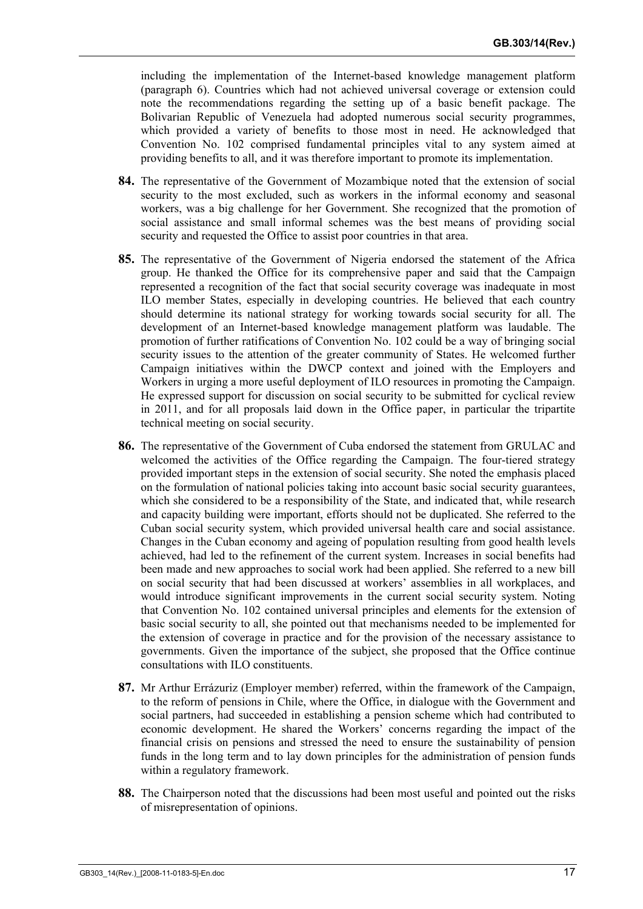including the implementation of the Internet-based knowledge management platform (paragraph 6). Countries which had not achieved universal coverage or extension could note the recommendations regarding the setting up of a basic benefit package. The Bolivarian Republic of Venezuela had adopted numerous social security programmes, which provided a variety of benefits to those most in need. He acknowledged that Convention No. 102 comprised fundamental principles vital to any system aimed at providing benefits to all, and it was therefore important to promote its implementation.

- **84.** The representative of the Government of Mozambique noted that the extension of social security to the most excluded, such as workers in the informal economy and seasonal workers, was a big challenge for her Government. She recognized that the promotion of social assistance and small informal schemes was the best means of providing social security and requested the Office to assist poor countries in that area.
- **85.** The representative of the Government of Nigeria endorsed the statement of the Africa group. He thanked the Office for its comprehensive paper and said that the Campaign represented a recognition of the fact that social security coverage was inadequate in most ILO member States, especially in developing countries. He believed that each country should determine its national strategy for working towards social security for all. The development of an Internet-based knowledge management platform was laudable. The promotion of further ratifications of Convention No. 102 could be a way of bringing social security issues to the attention of the greater community of States. He welcomed further Campaign initiatives within the DWCP context and joined with the Employers and Workers in urging a more useful deployment of ILO resources in promoting the Campaign. He expressed support for discussion on social security to be submitted for cyclical review in 2011, and for all proposals laid down in the Office paper, in particular the tripartite technical meeting on social security.
- **86.** The representative of the Government of Cuba endorsed the statement from GRULAC and welcomed the activities of the Office regarding the Campaign. The four-tiered strategy provided important steps in the extension of social security. She noted the emphasis placed on the formulation of national policies taking into account basic social security guarantees, which she considered to be a responsibility of the State, and indicated that, while research and capacity building were important, efforts should not be duplicated. She referred to the Cuban social security system, which provided universal health care and social assistance. Changes in the Cuban economy and ageing of population resulting from good health levels achieved, had led to the refinement of the current system. Increases in social benefits had been made and new approaches to social work had been applied. She referred to a new bill on social security that had been discussed at workers' assemblies in all workplaces, and would introduce significant improvements in the current social security system. Noting that Convention No. 102 contained universal principles and elements for the extension of basic social security to all, she pointed out that mechanisms needed to be implemented for the extension of coverage in practice and for the provision of the necessary assistance to governments. Given the importance of the subject, she proposed that the Office continue consultations with ILO constituents.
- **87.** Mr Arthur Errázuriz (Employer member) referred, within the framework of the Campaign, to the reform of pensions in Chile, where the Office, in dialogue with the Government and social partners, had succeeded in establishing a pension scheme which had contributed to economic development. He shared the Workers' concerns regarding the impact of the financial crisis on pensions and stressed the need to ensure the sustainability of pension funds in the long term and to lay down principles for the administration of pension funds within a regulatory framework.
- **88.** The Chairperson noted that the discussions had been most useful and pointed out the risks of misrepresentation of opinions.